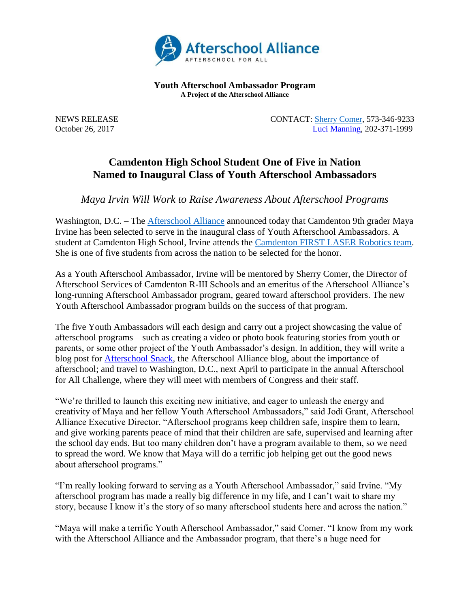

**Youth Afterschool Ambassador Program A Project of the Afterschool Alliance**

NEWS RELEASE CONTACT: [Sherry Comer,](mailto:scomer@camdentonschools.org) 573-346-9233 October 26, 2017 [Luci Manning,](mailto:luci@prsolutionsdc.com?subject=2017-18%20Ambassador:%20) 202-371-1999

## **Camdenton High School Student One of Five in Nation Named to Inaugural Class of Youth Afterschool Ambassadors**

*Maya Irvin Will Work to Raise Awareness About Afterschool Programs*

Washington, D.C. – The [Afterschool Alliance](http://www.afterschoolalliance.org/) announced today that Camdenton 9th grader Maya Irvine has been selected to serve in the inaugural class of Youth Afterschool Ambassadors. A student at Camdenton High School, Irvine attends the [Camdenton FIRST LASER Robotics team.](http://www.laser3284.org/) She is one of five students from across the nation to be selected for the honor.

As a Youth Afterschool Ambassador, Irvine will be mentored by Sherry Comer, the Director of Afterschool Services of Camdenton R-III Schools and an emeritus of the Afterschool Alliance's long-running Afterschool Ambassador program, geared toward afterschool providers. The new Youth Afterschool Ambassador program builds on the success of that program.

The five Youth Ambassadors will each design and carry out a project showcasing the value of afterschool programs – such as creating a video or photo book featuring stories from youth or parents, or some other project of the Youth Ambassador's design. In addition, they will write a blog post for [Afterschool Snack,](http://www.afterschoolalliance.org/afterschoolsnack/ASnack.cfm) the Afterschool Alliance blog, about the importance of afterschool; and travel to Washington, D.C., next April to participate in the annual Afterschool for All Challenge, where they will meet with members of Congress and their staff.

"We're thrilled to launch this exciting new initiative, and eager to unleash the energy and creativity of Maya and her fellow Youth Afterschool Ambassadors," said Jodi Grant, Afterschool Alliance Executive Director. "Afterschool programs keep children safe, inspire them to learn, and give working parents peace of mind that their children are safe, supervised and learning after the school day ends. But too many children don't have a program available to them, so we need to spread the word. We know that Maya will do a terrific job helping get out the good news about afterschool programs."

"I'm really looking forward to serving as a Youth Afterschool Ambassador," said Irvine. "My afterschool program has made a really big difference in my life, and I can't wait to share my story, because I know it's the story of so many afterschool students here and across the nation."

"Maya will make a terrific Youth Afterschool Ambassador," said Comer. "I know from my work with the Afterschool Alliance and the Ambassador program, that there's a huge need for